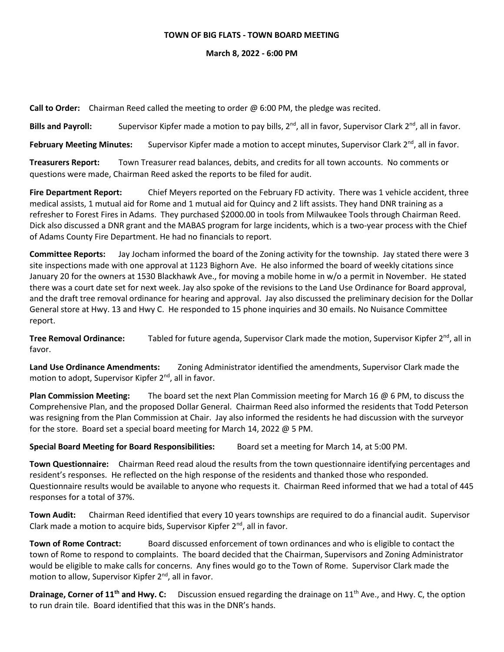## **TOWN OF BIG FLATS - TOWN BOARD MEETING**

## **March 8, 2022 - 6:00 PM**

**Call to Order:** Chairman Reed called the meeting to order @ 6:00 PM, the pledge was recited.

**Bills and Payroll:** Supervisor Kipfer made a motion to pay bills, 2<sup>nd</sup>, all in favor, Supervisor Clark 2<sup>nd</sup>, all in favor.

February Meeting Minutes: Supervisor Kipfer made a motion to accept minutes, Supervisor Clark 2<sup>nd</sup>, all in favor.

**Treasurers Report:** Town Treasurer read balances, debits, and credits for all town accounts. No comments or questions were made, Chairman Reed asked the reports to be filed for audit.

**Fire Department Report:** Chief Meyers reported on the February FD activity. There was 1 vehicle accident, three medical assists, 1 mutual aid for Rome and 1 mutual aid for Quincy and 2 lift assists. They hand DNR training as a refresher to Forest Fires in Adams. They purchased \$2000.00 in tools from Milwaukee Tools through Chairman Reed. Dick also discussed a DNR grant and the MABAS program for large incidents, which is a two-year process with the Chief of Adams County Fire Department. He had no financials to report.

**Committee Reports:** Jay Jocham informed the board of the Zoning activity for the township. Jay stated there were 3 site inspections made with one approval at 1123 Bighorn Ave. He also informed the board of weekly citations since January 20 for the owners at 1530 Blackhawk Ave., for moving a mobile home in w/o a permit in November. He stated there was a court date set for next week. Jay also spoke of the revisions to the Land Use Ordinance for Board approval, and the draft tree removal ordinance for hearing and approval. Jay also discussed the preliminary decision for the Dollar General store at Hwy. 13 and Hwy C. He responded to 15 phone inquiries and 30 emails. No Nuisance Committee report.

**Tree Removal Ordinance:** Tabled for future agenda, Supervisor Clark made the motion, Supervisor Kipfer 2<sup>nd</sup>, all in favor.

**Land Use Ordinance Amendments:** Zoning Administrator identified the amendments, Supervisor Clark made the motion to adopt, Supervisor Kipfer 2<sup>nd</sup>, all in favor.

**Plan Commission Meeting:** The board set the next Plan Commission meeting for March 16 @ 6 PM, to discuss the Comprehensive Plan, and the proposed Dollar General. Chairman Reed also informed the residents that Todd Peterson was resigning from the Plan Commission at Chair. Jay also informed the residents he had discussion with the surveyor for the store. Board set a special board meeting for March 14, 2022 @ 5 PM.

**Special Board Meeting for Board Responsibilities:** Board set a meeting for March 14, at 5:00 PM.

**Town Questionnaire:** Chairman Reed read aloud the results from the town questionnaire identifying percentages and resident's responses. He reflected on the high response of the residents and thanked those who responded. Questionnaire results would be available to anyone who requests it. Chairman Reed informed that we had a total of 445 responses for a total of 37%.

**Town Audit:** Chairman Reed identified that every 10 years townships are required to do a financial audit. Supervisor Clark made a motion to acquire bids, Supervisor Kipfer  $2^{nd}$ , all in favor.

**Town of Rome Contract:** Board discussed enforcement of town ordinances and who is eligible to contact the town of Rome to respond to complaints. The board decided that the Chairman, Supervisors and Zoning Administrator would be eligible to make calls for concerns. Any fines would go to the Town of Rome. Supervisor Clark made the motion to allow, Supervisor Kipfer 2<sup>nd</sup>, all in favor.

**Drainage, Corner of 11<sup>th</sup> and Hwy. C:** Discussion ensued regarding the drainage on 11<sup>th</sup> Ave., and Hwy. C, the option to run drain tile. Board identified that this was in the DNR's hands.